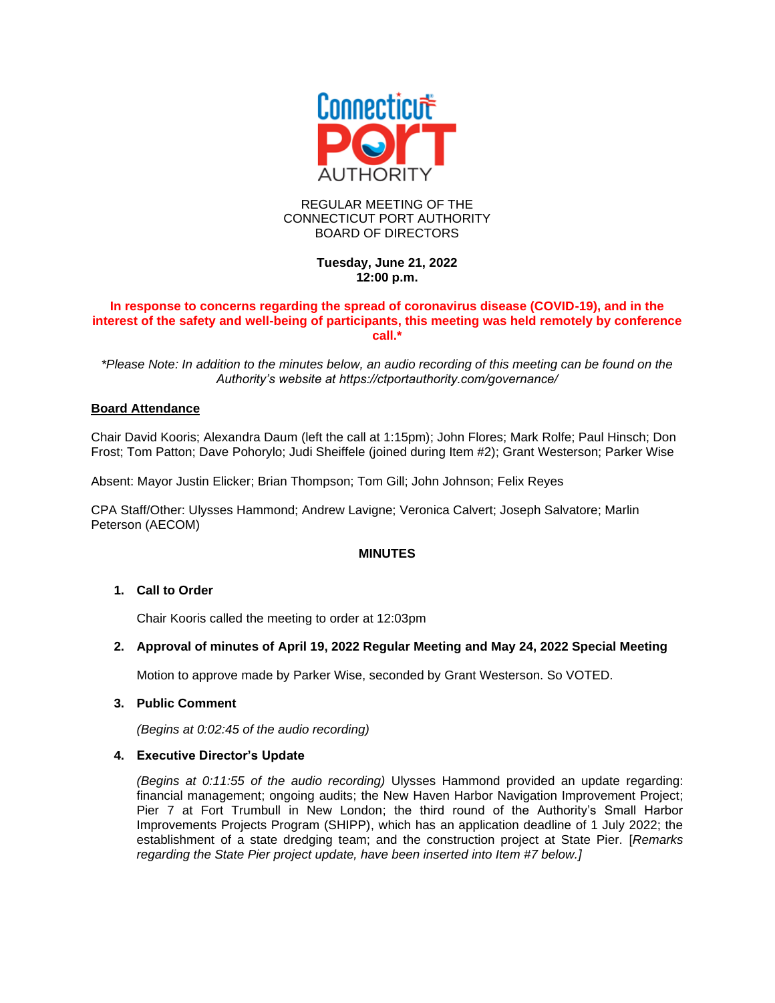

## REGULAR MEETING OF THE CONNECTICUT PORT AUTHORITY BOARD OF DIRECTORS

# **Tuesday, June 21, 2022 12:00 p.m.**

## **In response to concerns regarding the spread of coronavirus disease (COVID-19), and in the interest of the safety and well-being of participants, this meeting was held remotely by conference call.\***

*\*Please Note: In addition to the minutes below, an audio recording of this meeting can be found on the Authority's website at https://ctportauthority.com/governance/*

## **Board Attendance**

Chair David Kooris; Alexandra Daum (left the call at 1:15pm); John Flores; Mark Rolfe; Paul Hinsch; Don Frost; Tom Patton; Dave Pohorylo; Judi Sheiffele (joined during Item #2); Grant Westerson; Parker Wise

Absent: Mayor Justin Elicker; Brian Thompson; Tom Gill; John Johnson; Felix Reyes

CPA Staff/Other: Ulysses Hammond; Andrew Lavigne; Veronica Calvert; Joseph Salvatore; Marlin Peterson (AECOM)

## **MINUTES**

## **1. Call to Order**

Chair Kooris called the meeting to order at 12:03pm

## **2. Approval of minutes of April 19, 2022 Regular Meeting and May 24, 2022 Special Meeting**

Motion to approve made by Parker Wise, seconded by Grant Westerson. So VOTED.

## **3. Public Comment**

*(Begins at 0:02:45 of the audio recording)*

## **4. Executive Director's Update**

*(Begins at 0:11:55 of the audio recording)* Ulysses Hammond provided an update regarding: financial management; ongoing audits; the New Haven Harbor Navigation Improvement Project; Pier 7 at Fort Trumbull in New London; the third round of the Authority's Small Harbor Improvements Projects Program (SHIPP), which has an application deadline of 1 July 2022; the establishment of a state dredging team; and the construction project at State Pier. [*Remarks regarding the State Pier project update, have been inserted into Item #7 below.]*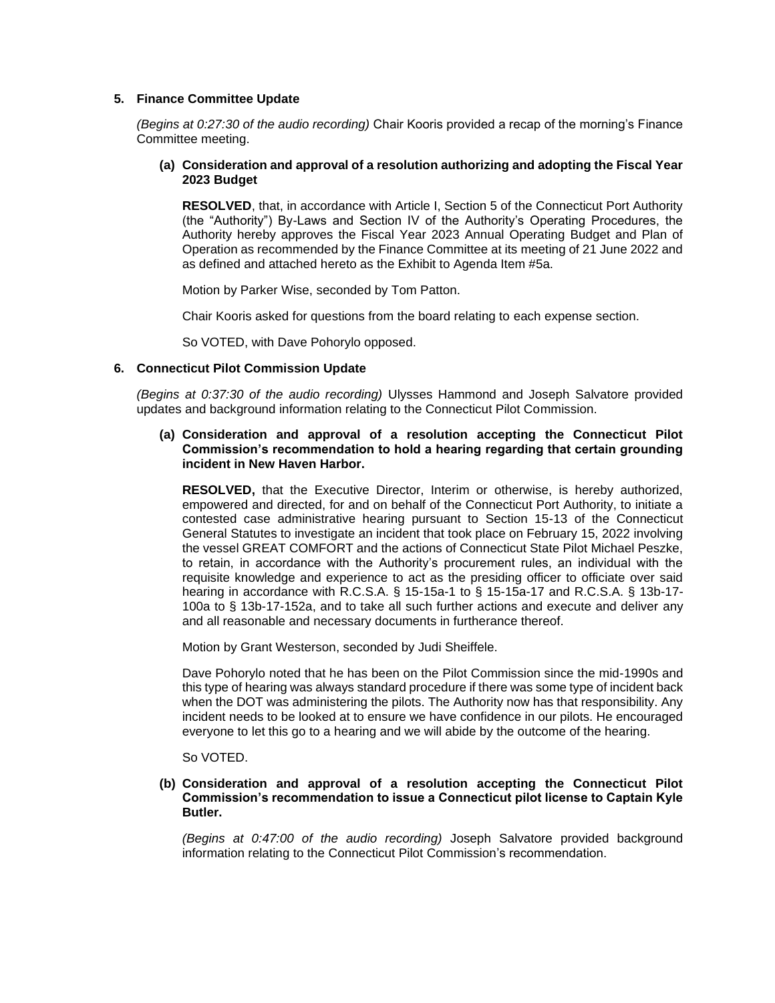## **5. Finance Committee Update**

*(Begins at 0:27:30 of the audio recording)* Chair Kooris provided a recap of the morning's Finance Committee meeting.

## **(a) Consideration and approval of a resolution authorizing and adopting the Fiscal Year 2023 Budget**

**RESOLVED**, that, in accordance with Article I, Section 5 of the Connecticut Port Authority (the "Authority") By-Laws and Section IV of the Authority's Operating Procedures, the Authority hereby approves the Fiscal Year 2023 Annual Operating Budget and Plan of Operation as recommended by the Finance Committee at its meeting of 21 June 2022 and as defined and attached hereto as the Exhibit to Agenda Item #5a.

Motion by Parker Wise, seconded by Tom Patton.

Chair Kooris asked for questions from the board relating to each expense section.

So VOTED, with Dave Pohorylo opposed.

## **6. Connecticut Pilot Commission Update**

*(Begins at 0:37:30 of the audio recording)* Ulysses Hammond and Joseph Salvatore provided updates and background information relating to the Connecticut Pilot Commission.

#### **(a) Consideration and approval of a resolution accepting the Connecticut Pilot Commission's recommendation to hold a hearing regarding that certain grounding incident in New Haven Harbor.**

**RESOLVED,** that the Executive Director, Interim or otherwise, is hereby authorized, empowered and directed, for and on behalf of the Connecticut Port Authority, to initiate a contested case administrative hearing pursuant to Section 15-13 of the Connecticut General Statutes to investigate an incident that took place on February 15, 2022 involving the vessel GREAT COMFORT and the actions of Connecticut State Pilot Michael Peszke, to retain, in accordance with the Authority's procurement rules, an individual with the requisite knowledge and experience to act as the presiding officer to officiate over said hearing in accordance with R.C.S.A. § 15-15a-1 to § 15-15a-17 and R.C.S.A. § 13b-17- 100a to § 13b-17-152a, and to take all such further actions and execute and deliver any and all reasonable and necessary documents in furtherance thereof.

Motion by Grant Westerson, seconded by Judi Sheiffele.

Dave Pohorylo noted that he has been on the Pilot Commission since the mid-1990s and this type of hearing was always standard procedure if there was some type of incident back when the DOT was administering the pilots. The Authority now has that responsibility. Any incident needs to be looked at to ensure we have confidence in our pilots. He encouraged everyone to let this go to a hearing and we will abide by the outcome of the hearing.

So VOTED.

## **(b) Consideration and approval of a resolution accepting the Connecticut Pilot Commission's recommendation to issue a Connecticut pilot license to Captain Kyle Butler.**

*(Begins at 0:47:00 of the audio recording)* Joseph Salvatore provided background information relating to the Connecticut Pilot Commission's recommendation.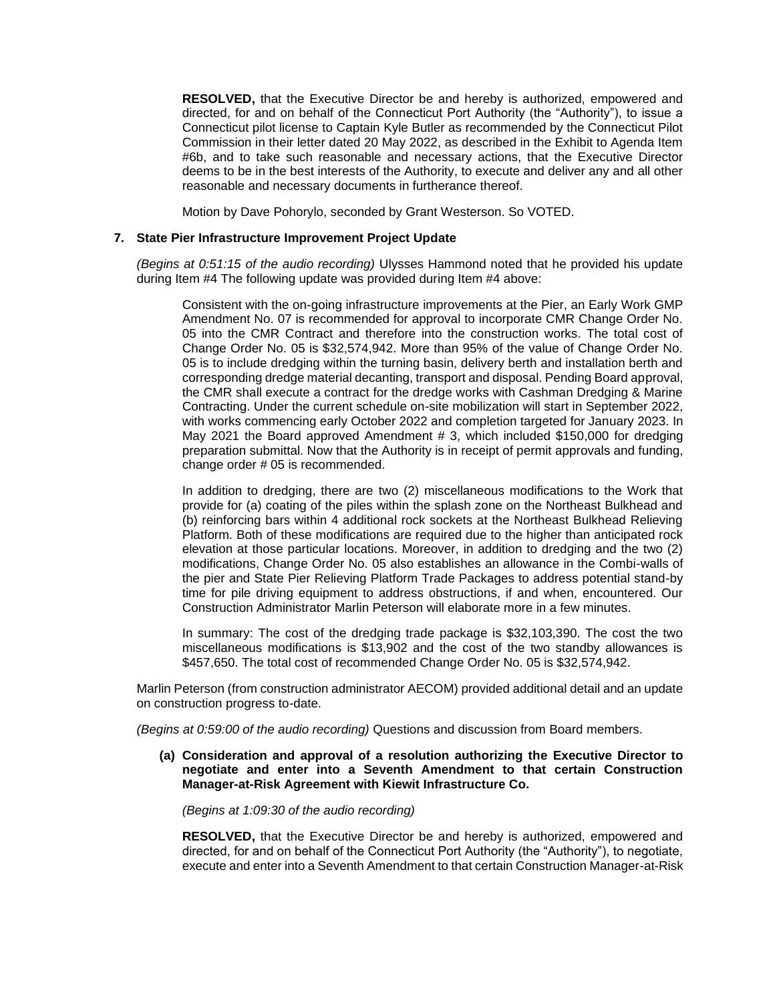**RESOLVED,** that the Executive Director be and hereby is authorized, empowered and directed, for and on behalf of the Connecticut Port Authority (the "Authority"), to issue a Connecticut pilot license to Captain Kyle Butler as recommended by the Connecticut Pilot Commission in their letter dated 20 May 2022, as described in the Exhibit to Agenda Item #6b, and to take such reasonable and necessary actions, that the Executive Director deems to be in the best interests of the Authority, to execute and deliver any and all other reasonable and necessary documents in furtherance thereof.

Motion by Dave Pohorylo, seconded by Grant Westerson. So VOTED.

#### **7. State Pier Infrastructure Improvement Project Update**

*(Begins at 0:51:15 of the audio recording)* Ulysses Hammond noted that he provided his update during Item #4 The following update was provided during Item #4 above:

Consistent with the on-going infrastructure improvements at the Pier, an Early Work GMP Amendment No. 07 is recommended for approval to incorporate CMR Change Order No. 05 into the CMR Contract and therefore into the construction works. The total cost of Change Order No. 05 is \$32,574,942. More than 95% of the value of Change Order No. 05 is to include dredging within the turning basin, delivery berth and installation berth and corresponding dredge material decanting, transport and disposal. Pending Board approval, the CMR shall execute a contract for the dredge works with Cashman Dredging & Marine Contracting. Under the current schedule on-site mobilization will start in September 2022, with works commencing early October 2022 and completion targeted for January 2023. In May 2021 the Board approved Amendment # 3, which included \$150,000 for dredging preparation submittal. Now that the Authority is in receipt of permit approvals and funding, change order # 05 is recommended.

In addition to dredging, there are two (2) miscellaneous modifications to the Work that provide for (a) coating of the piles within the splash zone on the Northeast Bulkhead and (b) reinforcing bars within 4 additional rock sockets at the Northeast Bulkhead Relieving Platform. Both of these modifications are required due to the higher than anticipated rock elevation at those particular locations. Moreover, in addition to dredging and the two (2) modifications, Change Order No. 05 also establishes an allowance in the Combi-walls of the pier and State Pier Relieving Platform Trade Packages to address potential stand-by time for pile driving equipment to address obstructions, if and when, encountered. Our Construction Administrator Marlin Peterson will elaborate more in a few minutes.

In summary: The cost of the dredging trade package is \$32,103,390. The cost the two miscellaneous modifications is \$13,902 and the cost of the two standby allowances is \$457,650. The total cost of recommended Change Order No. 05 is \$32,574,942.

Marlin Peterson (from construction administrator AECOM) provided additional detail and an update on construction progress to-date.

*(Begins at 0:59:00 of the audio recording)* Questions and discussion from Board members.

## **(a) Consideration and approval of a resolution authorizing the Executive Director to negotiate and enter into a Seventh Amendment to that certain Construction Manager-at-Risk Agreement with Kiewit Infrastructure Co.**

*(Begins at 1:09:30 of the audio recording)*

**RESOLVED,** that the Executive Director be and hereby is authorized, empowered and directed, for and on behalf of the Connecticut Port Authority (the "Authority"), to negotiate, execute and enter into a Seventh Amendment to that certain Construction Manager-at-Risk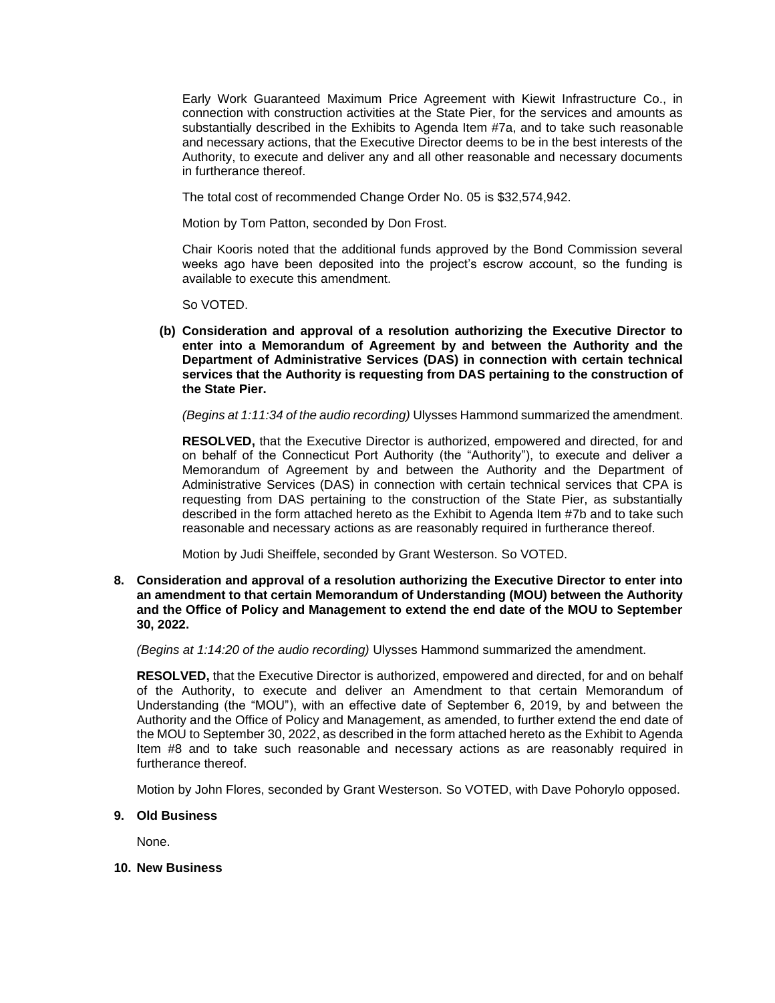Early Work Guaranteed Maximum Price Agreement with Kiewit Infrastructure Co., in connection with construction activities at the State Pier, for the services and amounts as substantially described in the Exhibits to Agenda Item #7a, and to take such reasonable and necessary actions, that the Executive Director deems to be in the best interests of the Authority, to execute and deliver any and all other reasonable and necessary documents in furtherance thereof.

The total cost of recommended Change Order No. 05 is \$32,574,942.

Motion by Tom Patton, seconded by Don Frost.

Chair Kooris noted that the additional funds approved by the Bond Commission several weeks ago have been deposited into the project's escrow account, so the funding is available to execute this amendment.

So VOTED.

**(b) Consideration and approval of a resolution authorizing the Executive Director to enter into a Memorandum of Agreement by and between the Authority and the Department of Administrative Services (DAS) in connection with certain technical services that the Authority is requesting from DAS pertaining to the construction of the State Pier.**

*(Begins at 1:11:34 of the audio recording)* Ulysses Hammond summarized the amendment.

**RESOLVED,** that the Executive Director is authorized, empowered and directed, for and on behalf of the Connecticut Port Authority (the "Authority"), to execute and deliver a Memorandum of Agreement by and between the Authority and the Department of Administrative Services (DAS) in connection with certain technical services that CPA is requesting from DAS pertaining to the construction of the State Pier, as substantially described in the form attached hereto as the Exhibit to Agenda Item #7b and to take such reasonable and necessary actions as are reasonably required in furtherance thereof.

Motion by Judi Sheiffele, seconded by Grant Westerson. So VOTED.

**8. Consideration and approval of a resolution authorizing the Executive Director to enter into an amendment to that certain Memorandum of Understanding (MOU) between the Authority and the Office of Policy and Management to extend the end date of the MOU to September 30, 2022.**

*(Begins at 1:14:20 of the audio recording)* Ulysses Hammond summarized the amendment.

**RESOLVED,** that the Executive Director is authorized, empowered and directed, for and on behalf of the Authority, to execute and deliver an Amendment to that certain Memorandum of Understanding (the "MOU"), with an effective date of September 6, 2019, by and between the Authority and the Office of Policy and Management, as amended, to further extend the end date of the MOU to September 30, 2022, as described in the form attached hereto as the Exhibit to Agenda Item #8 and to take such reasonable and necessary actions as are reasonably required in furtherance thereof.

Motion by John Flores, seconded by Grant Westerson. So VOTED, with Dave Pohorylo opposed.

**9. Old Business**

None.

**10. New Business**